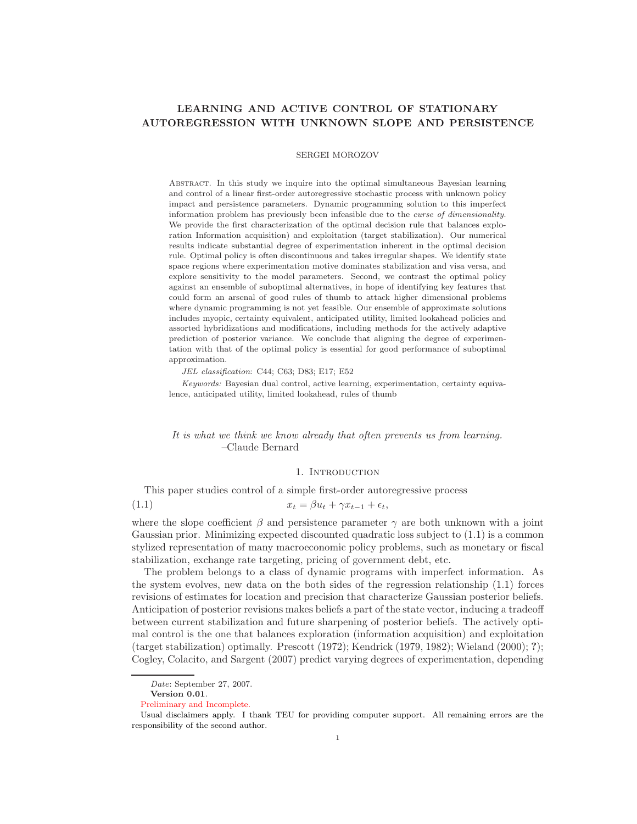# LEARNING AND ACTIVE CONTROL OF STATIONARY AUTOREGRESSION WITH UNKNOWN SLOPE AND PERSISTENCE

### SERGEI MOROZOV

Abstract. In this study we inquire into the optimal simultaneous Bayesian learning and control of a linear first-order autoregressive stochastic process with unknown policy impact and persistence parameters. Dynamic programming solution to this imperfect information problem has previously been infeasible due to the curse of dimensionality. We provide the first characterization of the optimal decision rule that balances exploration Information acquisition) and exploitation (target stabilization). Our numerical results indicate substantial degree of experimentation inherent in the optimal decision rule. Optimal policy is often discontinuous and takes irregular shapes. We identify state space regions where experimentation motive dominates stabilization and visa versa, and explore sensitivity to the model parameters. Second, we contrast the optimal policy against an ensemble of suboptimal alternatives, in hope of identifying key features that could form an arsenal of good rules of thumb to attack higher dimensional problems where dynamic programming is not yet feasible. Our ensemble of approximate solutions includes myopic, certainty equivalent, anticipated utility, limited lookahead policies and assorted hybridizations and modifications, including methods for the actively adaptive prediction of posterior variance. We conclude that aligning the degree of experimentation with that of the optimal policy is essential for good performance of suboptimal approximation.

JEL classification: C44; C63; D83; E17; E52

Keywords: Bayesian dual control, active learning, experimentation, certainty equivalence, anticipated utility, limited lookahead, rules of thumb

### It is what we think we know already that often prevents us from learning. –Claude Bernard

### 1. INTRODUCTION

This paper studies control of a simple first-order autoregressive process

$$
(1.1) \t\t\t x_t = \beta u_t + \gamma x_{t-1} + \epsilon_t,
$$

where the slope coefficient  $\beta$  and persistence parameter  $\gamma$  are both unknown with a joint Gaussian prior. Minimizing expected discounted quadratic loss subject to (1.1) is a common stylized representation of many macroeconomic policy problems, such as monetary or fiscal stabilization, exchange rate targeting, pricing of government debt, etc.

The problem belongs to a class of dynamic programs with imperfect information. As the system evolves, new data on the both sides of the regression relationship (1.1) forces revisions of estimates for location and precision that characterize Gaussian posterior beliefs. Anticipation of posterior revisions makes beliefs a part of the state vector, inducing a tradeoff between current stabilization and future sharpening of posterior beliefs. The actively optimal control is the one that balances exploration (information acquisition) and exploitation (target stabilization) optimally. Prescott (1972); Kendrick (1979, 1982); Wieland (2000); ?); Cogley, Colacito, and Sargent (2007) predict varying degrees of experimentation, depending

Date: September 27, 2007.

Version 0.01.

Preliminary and Incomplete.

Usual disclaimers apply. I thank TEU for providing computer support. All remaining errors are the responsibility of the second author.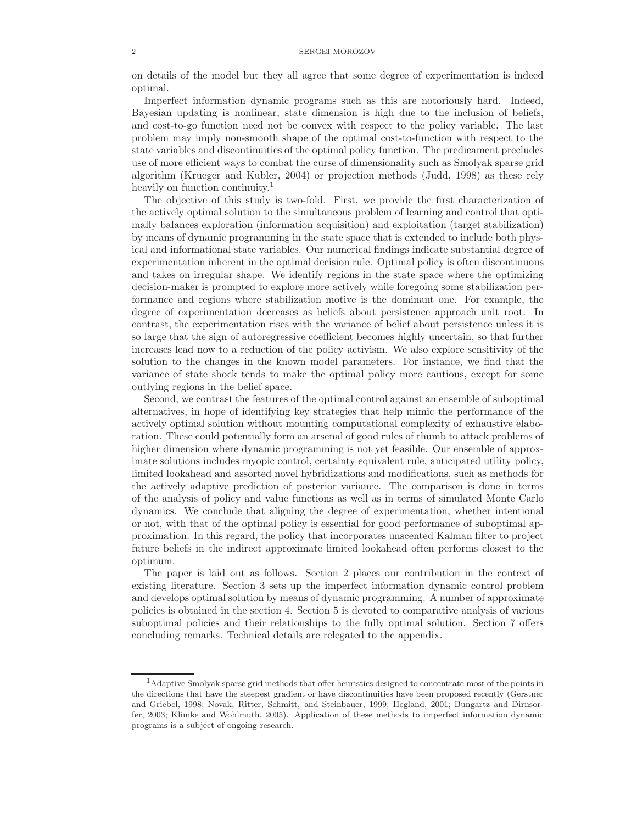#### 2 SERGEI MOROZOV

on details of the model but they all agree that some degree of experimentation is indeed optimal.

Imperfect information dynamic programs such as this are notoriously hard. Indeed, Bayesian updating is nonlinear, state dimension is high due to the inclusion of beliefs, and cost-to-go function need not be convex with respect to the policy variable. The last problem may imply non-smooth shape of the optimal cost-to-function with respect to the state variables and discontinuities of the optimal policy function. The predicament precludes use of more efficient ways to combat the curse of dimensionality such as Smolyak sparse grid algorithm (Krueger and Kubler, 2004) or projection methods (Judd, 1998) as these rely heavily on function continuity.<sup>1</sup>

The objective of this study is two-fold. First, we provide the first characterization of the actively optimal solution to the simultaneous problem of learning and control that optimally balances exploration (information acquisition) and exploitation (target stabilization) by means of dynamic programming in the state space that is extended to include both physical and informational state variables. Our numerical findings indicate substantial degree of experimentation inherent in the optimal decision rule. Optimal policy is often discontinuous and takes on irregular shape. We identify regions in the state space where the optimizing decision-maker is prompted to explore more actively while foregoing some stabilization performance and regions where stabilization motive is the dominant one. For example, the degree of experimentation decreases as beliefs about persistence approach unit root. In contrast, the experimentation rises with the variance of belief about persistence unless it is so large that the sign of autoregressive coefficient becomes highly uncertain, so that further increases lead now to a reduction of the policy activism. We also explore sensitivity of the solution to the changes in the known model parameters. For instance, we find that the variance of state shock tends to make the optimal policy more cautious, except for some outlying regions in the belief space.

Second, we contrast the features of the optimal control against an ensemble of suboptimal alternatives, in hope of identifying key strategies that help mimic the performance of the actively optimal solution without mounting computational complexity of exhaustive elaboration. These could potentially form an arsenal of good rules of thumb to attack problems of higher dimension where dynamic programming is not yet feasible. Our ensemble of approximate solutions includes myopic control, certainty equivalent rule, anticipated utility policy, limited lookahead and assorted novel hybridizations and modifications, such as methods for the actively adaptive prediction of posterior variance. The comparison is done in terms of the analysis of policy and value functions as well as in terms of simulated Monte Carlo dynamics. We conclude that aligning the degree of experimentation, whether intentional or not, with that of the optimal policy is essential for good performance of suboptimal approximation. In this regard, the policy that incorporates unscented Kalman filter to project future beliefs in the indirect approximate limited lookahead often performs closest to the optimum.

The paper is laid out as follows. Section 2 places our contribution in the context of existing literature. Section 3 sets up the imperfect information dynamic control problem and develops optimal solution by means of dynamic programming. A number of approximate policies is obtained in the section 4. Section 5 is devoted to comparative analysis of various suboptimal policies and their relationships to the fully optimal solution. Section 7 offers concluding remarks. Technical details are relegated to the appendix.

<sup>&</sup>lt;sup>1</sup>Adaptive Smolyak sparse grid methods that offer heuristics designed to concentrate most of the points in the directions that have the steepest gradient or have discontinuities have been proposed recently (Gerstner and Griebel, 1998; Novak, Ritter, Schmitt, and Steinbauer, 1999; Hegland, 2001; Bungartz and Dirnsorfer, 2003; Klimke and Wohlmuth, 2005). Application of these methods to imperfect information dynamic programs is a subject of ongoing research.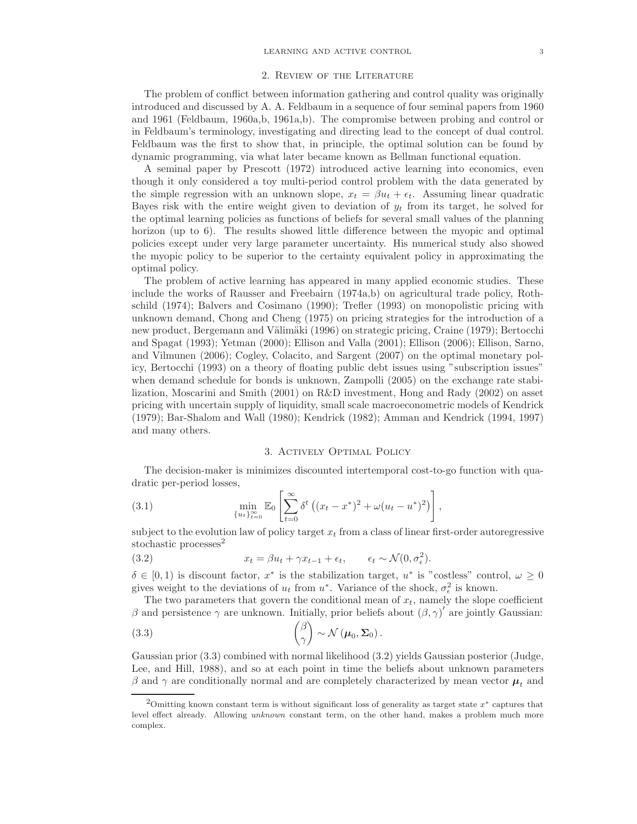### 2. Review of the Literature

The problem of conflict between information gathering and control quality was originally introduced and discussed by A. A. Feldbaum in a sequence of four seminal papers from 1960 and 1961 (Feldbaum, 1960a,b, 1961a,b). The compromise between probing and control or in Feldbaum's terminology, investigating and directing lead to the concept of dual control. Feldbaum was the first to show that, in principle, the optimal solution can be found by dynamic programming, via what later became known as Bellman functional equation.

A seminal paper by Prescott (1972) introduced active learning into economics, even though it only considered a toy multi-period control problem with the data generated by the simple regression with an unknown slope,  $x_t = \beta u_t + \epsilon_t$ . Assuming linear quadratic Bayes risk with the entire weight given to deviation of  $y_t$  from its target, he solved for the optimal learning policies as functions of beliefs for several small values of the planning horizon (up to 6). The results showed little difference between the myopic and optimal policies except under very large parameter uncertainty. His numerical study also showed the myopic policy to be superior to the certainty equivalent policy in approximating the optimal policy.

The problem of active learning has appeared in many applied economic studies. These include the works of Rausser and Freebairn (1974a,b) on agricultural trade policy, Rothschild (1974); Balvers and Cosimano (1990); Trefler (1993) on monopolistic pricing with unknown demand, Chong and Cheng (1975) on pricing strategies for the introduction of a new product, Bergemann and Välimäki (1996) on strategic pricing, Craine (1979); Bertocchi and Spagat (1993); Yetman (2000); Ellison and Valla (2001); Ellison (2006); Ellison, Sarno, and Vilmunen (2006); Cogley, Colacito, and Sargent (2007) on the optimal monetary policy, Bertocchi (1993) on a theory of floating public debt issues using "subscription issues" when demand schedule for bonds is unknown, Zampolli (2005) on the exchange rate stabilization, Moscarini and Smith (2001) on R&D investment, Hong and Rady (2002) on asset pricing with uncertain supply of liquidity, small scale macroeconometric models of Kendrick (1979); Bar-Shalom and Wall (1980); Kendrick (1982); Amman and Kendrick (1994, 1997) and many others.

### 3. Actively Optimal Policy

The decision-maker is minimizes discounted intertemporal cost-to-go function with quadratic per-period losses,

(3.1) 
$$
\min_{\{u_t\}_{t=0}^{\infty}} \mathbb{E}_0 \left[ \sum_{t=0}^{\infty} \delta^t \left( (x_t - x^*)^2 + \omega (u_t - u^*)^2 \right) \right],
$$

subject to the evolution law of policy target  $x_t$  from a class of linear first-order autoregressive stochastic processes $^{2}$ 

(3.2) 
$$
x_t = \beta u_t + \gamma x_{t-1} + \epsilon_t, \qquad \epsilon_t \sim \mathcal{N}(0, \sigma_{\epsilon}^2).
$$

 $\delta \in [0,1)$  is discount factor,  $x^*$  is the stabilization target,  $u^*$  is "costless" control,  $\omega \geq 0$ gives weight to the deviations of  $u_t$  from  $u^*$ . Variance of the shock,  $\sigma_{\epsilon}^2$  is known.

The two parameters that govern the conditional mean of  $x_t$ , namely the slope coefficient β and persistence  $\gamma$  are unknown. Initially, prior beliefs about  $(\beta, \gamma)'$  are jointly Gaussian:

(3.3) 
$$
\begin{pmatrix} \beta \\ \gamma \end{pmatrix} \sim \mathcal{N}(\boldsymbol{\mu}_0, \boldsymbol{\Sigma}_0).
$$

Gaussian prior (3.3) combined with normal likelihood (3.2) yields Gaussian posterior (Judge, Lee, and Hill, 1988), and so at each point in time the beliefs about unknown parameters β and γ are conditionally normal and are completely characterized by mean vector  $\mu_t$  and

 $2$ Omitting known constant term is without significant loss of generality as target state  $x^*$  captures that level effect already. Allowing unknown constant term, on the other hand, makes a problem much more complex.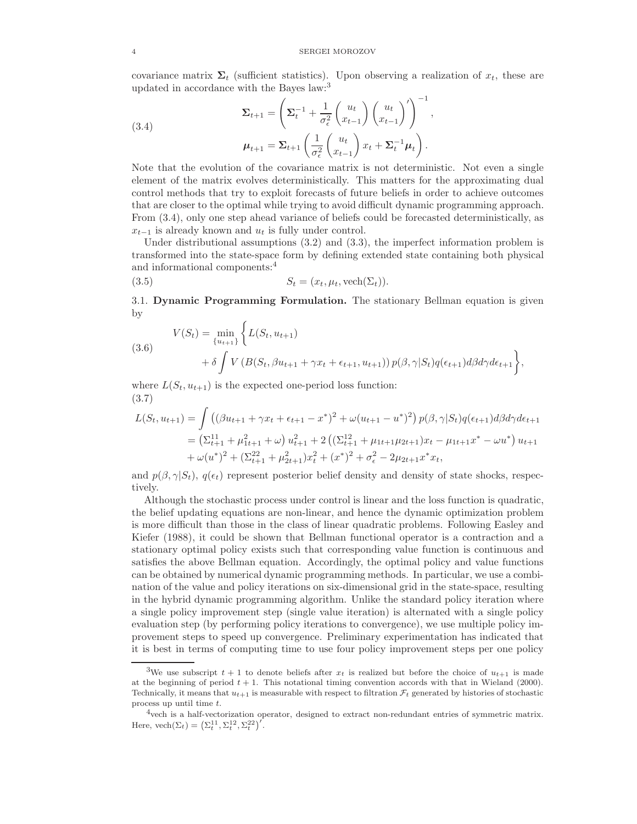covariance matrix  $\Sigma_t$  (sufficient statistics). Upon observing a realization of  $x_t$ , these are updated in accordance with the Bayes law:<sup>3</sup>

(3.4)  

$$
\Sigma_{t+1} = \left(\Sigma_t^{-1} + \frac{1}{\sigma_\epsilon^2} \begin{pmatrix} u_t \\ x_{t-1} \end{pmatrix} \begin{pmatrix} u_t \\ x_{t-1} \end{pmatrix}' \right)^{-1},
$$

$$
\mu_{t+1} = \Sigma_{t+1} \left(\frac{1}{\sigma_\epsilon^2} \begin{pmatrix} u_t \\ x_{t-1} \end{pmatrix} x_t + \Sigma_t^{-1} \mu_t \right).
$$

Note that the evolution of the covariance matrix is not deterministic. Not even a single element of the matrix evolves deterministically. This matters for the approximating dual control methods that try to exploit forecasts of future beliefs in order to achieve outcomes that are closer to the optimal while trying to avoid difficult dynamic programming approach. From (3.4), only one step ahead variance of beliefs could be forecasted deterministically, as  $x_{t-1}$  is already known and  $u_t$  is fully under control.

Under distributional assumptions (3.2) and (3.3), the imperfect information problem is transformed into the state-space form by defining extended state containing both physical and informational components:<sup>4</sup>

(3.5) 
$$
S_t = (x_t, \mu_t, \text{vech}(\Sigma_t)).
$$

3.1. Dynamic Programming Formulation. The stationary Bellman equation is given by

(3.6)  
\n
$$
V(S_t) = \min_{\{u_{t+1}\}} \left\{ L(S_t, u_{t+1}) + \delta \int V(B(S_t, \beta u_{t+1} + \gamma x_t + \epsilon_{t+1}, u_{t+1})) p(\beta, \gamma | S_t) q(\epsilon_{t+1}) d\beta d\gamma d\epsilon_{t+1} \right\},\
$$

where  $L(S_t, u_{t+1})$  is the expected one-period loss function: (3.7)

$$
L(S_t, u_{t+1}) = \int \left( (\beta u_{t+1} + \gamma x_t + \epsilon_{t+1} - x^*)^2 + \omega (u_{t+1} - u^*)^2 \right) p(\beta, \gamma | S_t) q(\epsilon_{t+1}) d\beta d\gamma d\epsilon_{t+1}
$$
  
= 
$$
\left( \Sigma_{t+1}^{11} + \mu_{1t+1}^2 + \omega \right) u_{t+1}^2 + 2 \left( (\Sigma_{t+1}^{12} + \mu_{1t+1} \mu_{2t+1}) x_t - \mu_{1t+1} x^* - \omega u^* \right) u_{t+1}
$$
  
+ 
$$
\omega (u^*)^2 + (\Sigma_{t+1}^{22} + \mu_{2t+1}^2) x_t^2 + (x^*)^2 + \sigma_{\epsilon}^2 - 2\mu_{2t+1} x^* x_t,
$$

and  $p(\beta, \gamma | S_t)$ ,  $q(\epsilon_t)$  represent posterior belief density and density of state shocks, respectively.

Although the stochastic process under control is linear and the loss function is quadratic, the belief updating equations are non-linear, and hence the dynamic optimization problem is more difficult than those in the class of linear quadratic problems. Following Easley and Kiefer (1988), it could be shown that Bellman functional operator is a contraction and a stationary optimal policy exists such that corresponding value function is continuous and satisfies the above Bellman equation. Accordingly, the optimal policy and value functions can be obtained by numerical dynamic programming methods. In particular, we use a combination of the value and policy iterations on six-dimensional grid in the state-space, resulting in the hybrid dynamic programming algorithm. Unlike the standard policy iteration where a single policy improvement step (single value iteration) is alternated with a single policy evaluation step (by performing policy iterations to convergence), we use multiple policy improvement steps to speed up convergence. Preliminary experimentation has indicated that it is best in terms of computing time to use four policy improvement steps per one policy

<sup>&</sup>lt;sup>3</sup>We use subscript  $t + 1$  to denote beliefs after  $x_t$  is realized but before the choice of  $u_{t+1}$  is made at the beginning of period  $t + 1$ . This notational timing convention accords with that in Wieland (2000). Technically, it means that  $u_{t+1}$  is measurable with respect to filtration  $\mathcal{F}_t$  generated by histories of stochastic process up until time t.

<sup>4</sup>vech is a half-vectorization operator, designed to extract non-redundant entries of symmetric matrix. Here,  $\text{vech}(\Sigma_t) = (\Sigma_t^{11}, \Sigma_t^{12}, \Sigma_t^{22})'$ .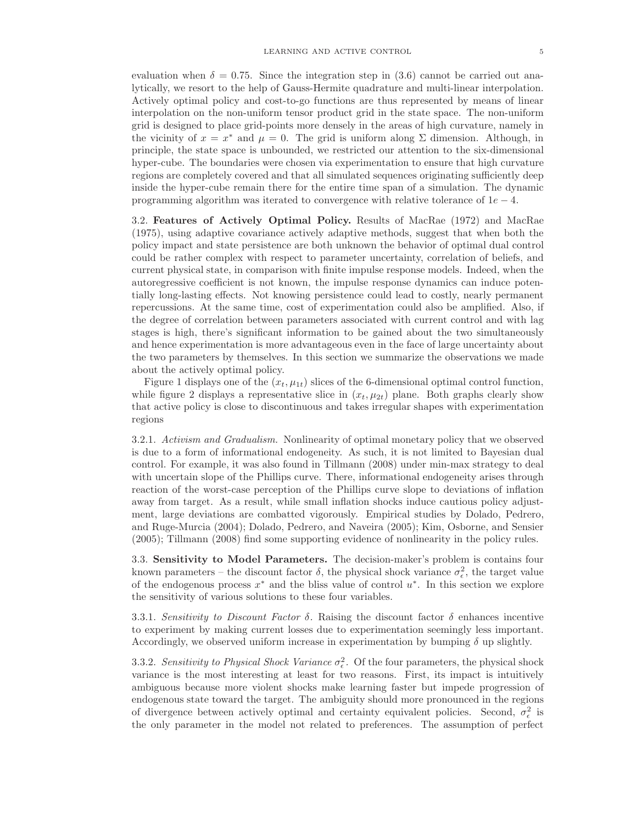evaluation when  $\delta = 0.75$ . Since the integration step in (3.6) cannot be carried out analytically, we resort to the help of Gauss-Hermite quadrature and multi-linear interpolation. Actively optimal policy and cost-to-go functions are thus represented by means of linear interpolation on the non-uniform tensor product grid in the state space. The non-uniform grid is designed to place grid-points more densely in the areas of high curvature, namely in the vicinity of  $x = x^*$  and  $\mu = 0$ . The grid is uniform along  $\Sigma$  dimension. Although, in principle, the state space is unbounded, we restricted our attention to the six-dimensional hyper-cube. The boundaries were chosen via experimentation to ensure that high curvature regions are completely covered and that all simulated sequences originating sufficiently deep inside the hyper-cube remain there for the entire time span of a simulation. The dynamic programming algorithm was iterated to convergence with relative tolerance of  $1e - 4$ .

3.2. Features of Actively Optimal Policy. Results of MacRae (1972) and MacRae (1975), using adaptive covariance actively adaptive methods, suggest that when both the policy impact and state persistence are both unknown the behavior of optimal dual control could be rather complex with respect to parameter uncertainty, correlation of beliefs, and current physical state, in comparison with finite impulse response models. Indeed, when the autoregressive coefficient is not known, the impulse response dynamics can induce potentially long-lasting effects. Not knowing persistence could lead to costly, nearly permanent repercussions. At the same time, cost of experimentation could also be amplified. Also, if the degree of correlation between parameters associated with current control and with lag stages is high, there's significant information to be gained about the two simultaneously and hence experimentation is more advantageous even in the face of large uncertainty about the two parameters by themselves. In this section we summarize the observations we made about the actively optimal policy.

Figure 1 displays one of the  $(x_t, \mu_{1t})$  slices of the 6-dimensional optimal control function, while figure 2 displays a representative slice in  $(x_t, \mu_{2t})$  plane. Both graphs clearly show that active policy is close to discontinuous and takes irregular shapes with experimentation regions

3.2.1. Activism and Gradualism. Nonlinearity of optimal monetary policy that we observed is due to a form of informational endogeneity. As such, it is not limited to Bayesian dual control. For example, it was also found in Tillmann (2008) under min-max strategy to deal with uncertain slope of the Phillips curve. There, informational endogeneity arises through reaction of the worst-case perception of the Phillips curve slope to deviations of inflation away from target. As a result, while small inflation shocks induce cautious policy adjustment, large deviations are combatted vigorously. Empirical studies by Dolado, Pedrero, and Ruge-Murcia (2004); Dolado, Pedrero, and Naveira (2005); Kim, Osborne, and Sensier (2005); Tillmann (2008) find some supporting evidence of nonlinearity in the policy rules.

3.3. Sensitivity to Model Parameters. The decision-maker's problem is contains four known parameters – the discount factor  $\delta$ , the physical shock variance  $\sigma_{\epsilon}^2$ , the target value of the endogenous process  $x^*$  and the bliss value of control  $u^*$ . In this section we explore the sensitivity of various solutions to these four variables.

3.3.1. Sensitivity to Discount Factor  $\delta$ . Raising the discount factor  $\delta$  enhances incentive to experiment by making current losses due to experimentation seemingly less important. Accordingly, we observed uniform increase in experimentation by bumping  $\delta$  up slightly.

3.3.2. Sensitivity to Physical Shock Variance  $\sigma_{\epsilon}^2$ . Of the four parameters, the physical shock variance is the most interesting at least for two reasons. First, its impact is intuitively ambiguous because more violent shocks make learning faster but impede progression of endogenous state toward the target. The ambiguity should more pronounced in the regions of divergence between actively optimal and certainty equivalent policies. Second,  $\sigma_{\epsilon}^2$  is the only parameter in the model not related to preferences. The assumption of perfect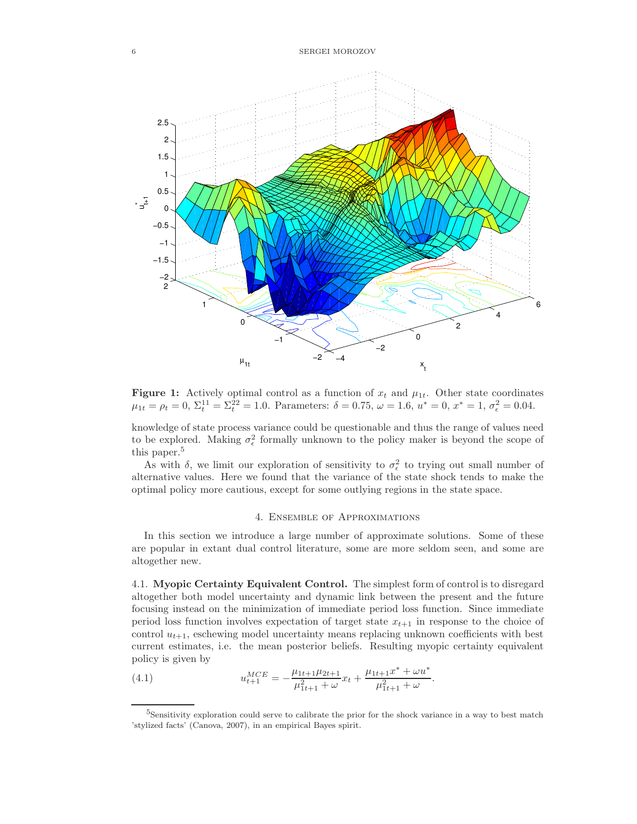6 SERGEI MOROZOV



Figure 1: Actively optimal control as a function of  $x_t$  and  $\mu_{1t}$ . Other state coordinates  $\mu_{1t} = \rho_t = 0, \ \Sigma_t^{11} = \Sigma_t^{22} = 1.0.$  Parameters:  $\delta = 0.75, \ \omega = 1.6, \ u^* = 0, \ x^* = 1, \ \sigma_{\epsilon}^2 = 0.04.$ 

knowledge of state process variance could be questionable and thus the range of values need to be explored. Making  $\sigma_{\epsilon}^2$  formally unknown to the policy maker is beyond the scope of this paper.<sup>5</sup>

As with  $\delta$ , we limit our exploration of sensitivity to  $\sigma_{\epsilon}^2$  to trying out small number of alternative values. Here we found that the variance of the state shock tends to make the optimal policy more cautious, except for some outlying regions in the state space.

## 4. Ensemble of Approximations

In this section we introduce a large number of approximate solutions. Some of these are popular in extant dual control literature, some are more seldom seen, and some are altogether new.

4.1. Myopic Certainty Equivalent Control. The simplest form of control is to disregard altogether both model uncertainty and dynamic link between the present and the future focusing instead on the minimization of immediate period loss function. Since immediate period loss function involves expectation of target state  $x_{t+1}$  in response to the choice of control  $u_{t+1}$ , eschewing model uncertainty means replacing unknown coefficients with best current estimates, i.e. the mean posterior beliefs. Resulting myopic certainty equivalent policy is given by

(4.1) 
$$
u_{t+1}^{MCE} = -\frac{\mu_{1t+1}\mu_{2t+1}}{\mu_{1t+1}^2 + \omega}x_t + \frac{\mu_{1t+1}x^* + \omega u^*}{\mu_{1t+1}^2 + \omega}.
$$

<sup>5</sup>Sensitivity exploration could serve to calibrate the prior for the shock variance in a way to best match 'stylized facts' (Canova, 2007), in an empirical Bayes spirit.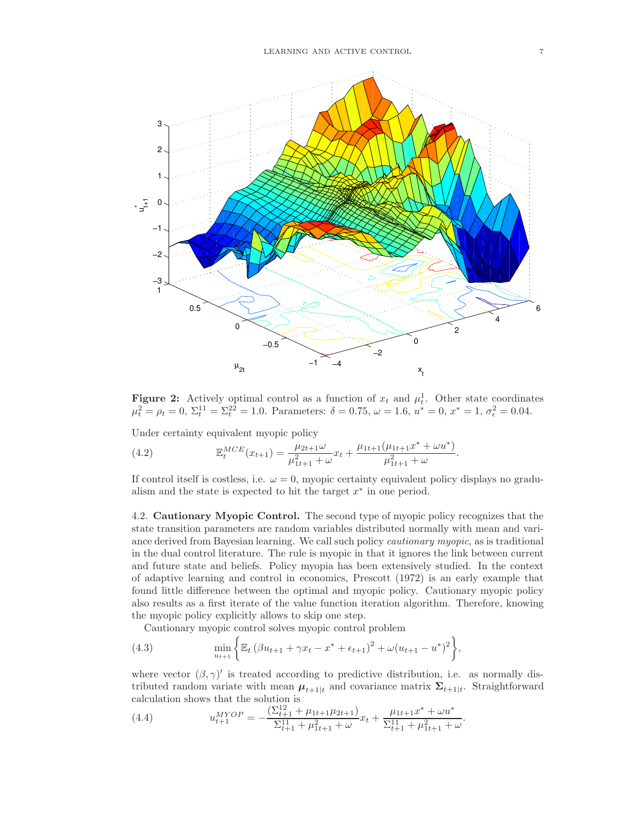

**Figure 2:** Actively optimal control as a function of  $x_t$  and  $\mu_t^1$ . Other state coordinates  $\mu_t^2 = \rho_t = 0, \ \Sigma_t^{11} = \Sigma_t^{22} = 1.0.$  Parameters:  $\delta = 0.75, \ \omega = 1.6, \ u^* = 0, \ x^* = 1, \ \sigma_{\epsilon}^2 = 0.04.$ 

Under certainty equivalent myopic policy

(4.2) 
$$
\mathbb{E}_t^{MCE}(x_{t+1}) = \frac{\mu_{2t+1}\omega}{\mu_{1t+1}^2 + \omega}x_t + \frac{\mu_{1t+1}(\mu_{1t+1}x^* + \omega u^*)}{\mu_{1t+1}^2 + \omega}.
$$

If control itself is costless, i.e.  $\omega = 0$ , myopic certainty equivalent policy displays no gradualism and the state is expected to hit the target  $x^*$  in one period.

4.2. Cautionary Myopic Control. The second type of myopic policy recognizes that the state transition parameters are random variables distributed normally with mean and variance derived from Bayesian learning. We call such policy cautionary myopic, as is traditional in the dual control literature. The rule is myopic in that it ignores the link between current and future state and beliefs. Policy myopia has been extensively studied. In the context of adaptive learning and control in economics, Prescott (1972) is an early example that found little difference between the optimal and myopic policy. Cautionary myopic policy also results as a first iterate of the value function iteration algorithm. Therefore, knowing the myopic policy explicitly allows to skip one step.

Cautionary myopic control solves myopic control problem

(4.3) 
$$
\min_{u_{t+1}} \left\{ \mathbb{E}_t \left( \beta u_{t+1} + \gamma x_t - x^* + \epsilon_{t+1} \right)^2 + \omega (u_{t+1} - u^*)^2 \right\},\
$$

where vector  $(\beta, \gamma)'$  is treated according to predictive distribution, i.e. as normally distributed random variate with mean  $\mu_{t+1|t}$  and covariance matrix  $\Sigma_{t+1|t}$ . Straightforward calculation shows that the solution is

(4.4) 
$$
u_{t+1}^{MYOP} = -\frac{\left(\sum_{t+1}^{12} + \mu_{1t+1}\mu_{2t+1}\right)}{\sum_{t+1}^{11} + \mu_{1t+1}^2 + \omega}x_t + \frac{\mu_{1t+1}x^* + \omega u^*}{\sum_{t+1}^{11} + \mu_{1t+1}^2 + \omega}.
$$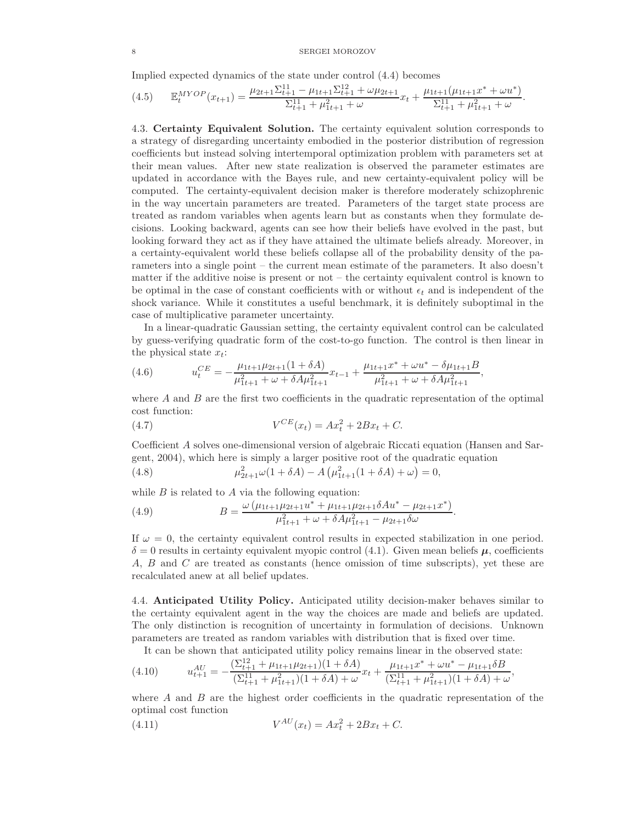#### 8 SERGEI MOROZOV

Implied expected dynamics of the state under control (4.4) becomes

$$
(4.5) \qquad \mathbb{E}_t^{MYOP}(x_{t+1}) = \frac{\mu_{2t+1} \Sigma_{t+1}^{11} - \mu_{1t+1} \Sigma_{t+1}^{12} + \omega \mu_{2t+1}}{\Sigma_{t+1}^{11} + \mu_{1t+1}^2 + \omega} x_t + \frac{\mu_{1t+1} (\mu_{1t+1} x^* + \omega u^*)}{\Sigma_{t+1}^{11} + \mu_{1t+1}^2 + \omega}.
$$

4.3. Certainty Equivalent Solution. The certainty equivalent solution corresponds to a strategy of disregarding uncertainty embodied in the posterior distribution of regression coefficients but instead solving intertemporal optimization problem with parameters set at their mean values. After new state realization is observed the parameter estimates are updated in accordance with the Bayes rule, and new certainty-equivalent policy will be computed. The certainty-equivalent decision maker is therefore moderately schizophrenic in the way uncertain parameters are treated. Parameters of the target state process are treated as random variables when agents learn but as constants when they formulate decisions. Looking backward, agents can see how their beliefs have evolved in the past, but looking forward they act as if they have attained the ultimate beliefs already. Moreover, in a certainty-equivalent world these beliefs collapse all of the probability density of the parameters into a single point – the current mean estimate of the parameters. It also doesn't matter if the additive noise is present or not – the certainty equivalent control is known to be optimal in the case of constant coefficients with or without  $\epsilon_t$  and is independent of the shock variance. While it constitutes a useful benchmark, it is definitely suboptimal in the case of multiplicative parameter uncertainty.

In a linear-quadratic Gaussian setting, the certainty equivalent control can be calculated by guess-verifying quadratic form of the cost-to-go function. The control is then linear in the physical state  $x_t$ :

(4.6) 
$$
u_t^{CE} = -\frac{\mu_{1t+1}\mu_{2t+1}(1+\delta A)}{\mu_{1t+1}^2 + \omega + \delta A\mu_{1t+1}^2}x_{t-1} + \frac{\mu_{1t+1}x^* + \omega u^* - \delta \mu_{1t+1}B}{\mu_{1t+1}^2 + \omega + \delta A\mu_{1t+1}^2},
$$

where  $A$  and  $B$  are the first two coefficients in the quadratic representation of the optimal cost function:

(4.7) 
$$
V^{CE}(x_t) = Ax_t^2 + 2Bx_t + C.
$$

Coefficient A solves one-dimensional version of algebraic Riccati equation (Hansen and Sargent, 2004), which here is simply a larger positive root of the quadratic equation

(4.8) 
$$
\mu_{2t+1}^2 \omega (1 + \delta A) - A \left( \mu_{1t+1}^2 (1 + \delta A) + \omega \right) = 0,
$$

while  $B$  is related to  $A$  via the following equation:

(4.9) 
$$
B = \frac{\omega \left(\mu_{1t+1}\mu_{2t+1}u^* + \mu_{1t+1}\mu_{2t+1}\delta A u^* - \mu_{2t+1}x^*\right)}{\mu_{1t+1}^2 + \omega + \delta A\mu_{1t+1}^2 - \mu_{2t+1}\delta\omega}.
$$

If  $\omega = 0$ , the certainty equivalent control results in expected stabilization in one period.  $\delta = 0$  results in certainty equivalent myopic control (4.1). Given mean beliefs  $\mu$ , coefficients A, B and C are treated as constants (hence omission of time subscripts), yet these are recalculated anew at all belief updates.

4.4. Anticipated Utility Policy. Anticipated utility decision-maker behaves similar to the certainty equivalent agent in the way the choices are made and beliefs are updated. The only distinction is recognition of uncertainty in formulation of decisions. Unknown parameters are treated as random variables with distribution that is fixed over time.

It can be shown that anticipated utility policy remains linear in the observed state:  
\n(4.10) 
$$
u_{t+1}^{AU} = -\frac{(\Sigma_{t+1}^{12} + \mu_{1t+1}\mu_{2t+1})(1+\delta A)}{(\Sigma_{t+1}^{11} + \mu_{1t+1}^2)(1+\delta A) + \omega}x_t + \frac{\mu_{1t+1}x^* + \omega u^* - \mu_{1t+1}\delta B}{(\Sigma_{t+1}^{11} + \mu_{1t+1}^2)(1+\delta A) + \omega},
$$

where  $A$  and  $B$  are the highest order coefficients in the quadratic representation of the optimal cost function

(4.11) 
$$
V^{AU}(x_t) = Ax_t^2 + 2Bx_t + C.
$$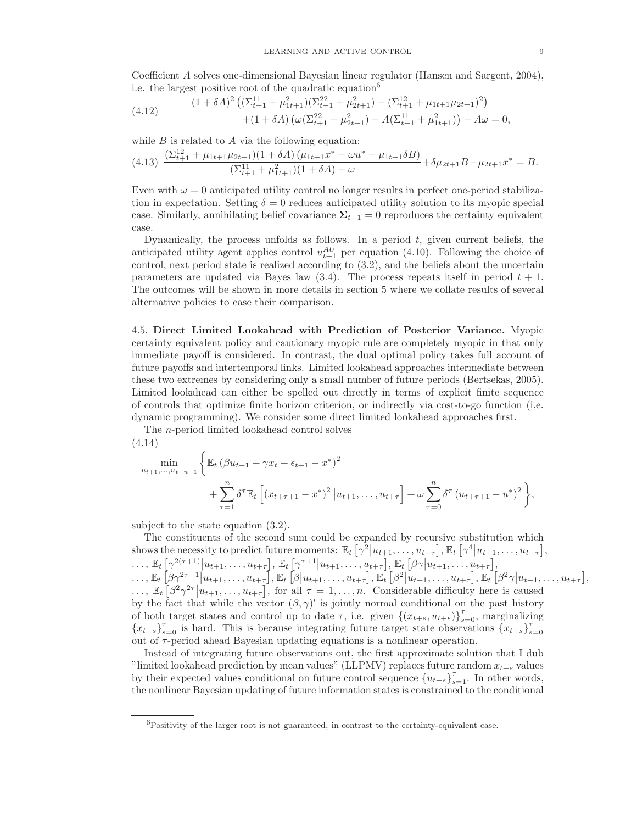Coefficient A solves one-dimensional Bayesian linear regulator (Hansen and Sargent, 2004), i.e. the largest positive root of the quadratic equation<sup>6</sup>

(4.12) 
$$
(1 + \delta A)^2 \left( (\Sigma_{t+1}^{11} + \mu_{1t+1}^2)(\Sigma_{t+1}^{22} + \mu_{2t+1}^2) - (\Sigma_{t+1}^{12} + \mu_{1t+1}\mu_{2t+1})^2 \right) + (1 + \delta A) \left( \omega (\Sigma_{t+1}^{22} + \mu_{2t+1}^2) - A(\Sigma_{t+1}^{11} + \mu_{1t+1}^2) \right) - A\omega = 0,
$$

while  $B$  is related to  $A$  via the following equation:

$$
(4.13)\ \frac{(\Sigma_{t+1}^{12} + \mu_{1t+1}\mu_{2t+1})(1+\delta A)\left(\mu_{1t+1}x^* + \omega u^* - \mu_{1t+1}\delta B\right)}{(\Sigma_{t+1}^{11} + \mu_{1t+1}^2)(1+\delta A) + \omega} + \delta\mu_{2t+1}B - \mu_{2t+1}x^* = B.
$$

Even with  $\omega = 0$  anticipated utility control no longer results in perfect one-period stabilization in expectation. Setting  $\delta = 0$  reduces anticipated utility solution to its myopic special case. Similarly, annihilating belief covariance  $\Sigma_{t+1} = 0$  reproduces the certainty equivalent case.

Dynamically, the process unfolds as follows. In a period  $t$ , given current beliefs, the anticipated utility agent applies control  $u_{t+1}^{AU}$  per equation (4.10). Following the choice of control, next period state is realized according to (3.2), and the beliefs about the uncertain parameters are updated via Bayes law  $(3.4)$ . The process repeats itself in period  $t + 1$ . The outcomes will be shown in more details in section 5 where we collate results of several alternative policies to ease their comparison.

4.5. Direct Limited Lookahead with Prediction of Posterior Variance. Myopic certainty equivalent policy and cautionary myopic rule are completely myopic in that only immediate payoff is considered. In contrast, the dual optimal policy takes full account of future payoffs and intertemporal links. Limited lookahead approaches intermediate between these two extremes by considering only a small number of future periods (Bertsekas, 2005). Limited lookahead can either be spelled out directly in terms of explicit finite sequence of controls that optimize finite horizon criterion, or indirectly via cost-to-go function (i.e. dynamic programming). We consider some direct limited lookahead approaches first.

The n-period limited lookahead control solves

(4.14)  
\n
$$
\min_{u_{t+1},...,u_{t+n+1}} \left\{ \mathbb{E}_t \left( \beta u_{t+1} + \gamma x_t + \epsilon_{t+1} - x^* \right)^2 + \sum_{\tau=1}^n \delta^\tau \mathbb{E}_t \left[ \left( x_{t+\tau+1} - x^* \right)^2 \Big| u_{t+1}, \dots, u_{t+\tau} \right] + \omega \sum_{\tau=0}^n \delta^\tau \left( u_{t+\tau+1} - u^* \right)^2 \right\},
$$

subject to the state equation (3.2).

The constituents of the second sum could be expanded by recursive substitution which shows the necessity to predict future moments:  $\mathbb{E}_t\left[\gamma^2|u_{t+1},\ldots,u_{t+\tau}\right], \mathbb{E}_t\left[\gamma^4|u_{t+1},\ldots,u_{t+\tau}\right],$  $\ldots, \mathbb{E}_t\left[\gamma^{2(\tau+1)}\big|u_{t+1},\ldots,u_{t+\tau}\right], \mathbb{E}_t\left[\gamma^{\tau+1}\big|u_{t+1},\ldots,u_{t+\tau}\right], \mathbb{E}_t\left[\beta\gamma\big|u_{t+1},\ldots,u_{t+\tau}\right],$  $\ldots, \mathbb{E}_t\left[\beta\gamma^{2\tau+1}\Big|u_{t+1},\ldots,u_{t+\tau}\right],\mathbb{E}_t\left[\beta\Big|u_{t+1},\ldots,u_{t+\tau}\right],\mathbb{E}_t\left[\beta^2\Big|u_{t+1},\ldots,u_{t+\tau}\right],\mathbb{E}_t\left[\beta^2\gamma\Big|u_{t+1},\ldots,u_{t+\tau}\right],$  $\ldots$ ,  $\mathbb{E}_t\left[\beta^2\gamma^{2\tau}\middle|u_{t+1},\ldots,u_{t+\tau}\right]$ , for all  $\tau=1,\ldots,n$ . Considerable difficulty here is caused by the fact that while the vector  $(\beta, \gamma)'$  is jointly normal conditional on the past history of both target states and control up to date  $\tau$ , i.e. given  $\{(x_{t+s}, u_{t+s})\}_{s=0}^{\tau}$ , marginalizing  ${x_{t+s}}_{s=0}^{\tau}$  is hard. This is because integrating future target state observations  ${x_{t+s}}_{s}^{\tau}$  $s=0$ out of τ-period ahead Bayesian updating equations is a nonlinear operation.

Instead of integrating future observations out, the first approximate solution that I dub "limited lookahead prediction by mean values" (LLPMV) replaces future random  $x_{t+s}$  values by their expected values conditional on future control sequence  ${u_{t+s}}_{s=1}^{\tau}$ . In other words, the nonlinear Bayesian updating of future information states is constrained to the conditional

 ${}^{6}P_{\text{O}\text{S}\text{S}}$  positivity of the larger root is not guaranteed, in contrast to the certainty-equivalent case.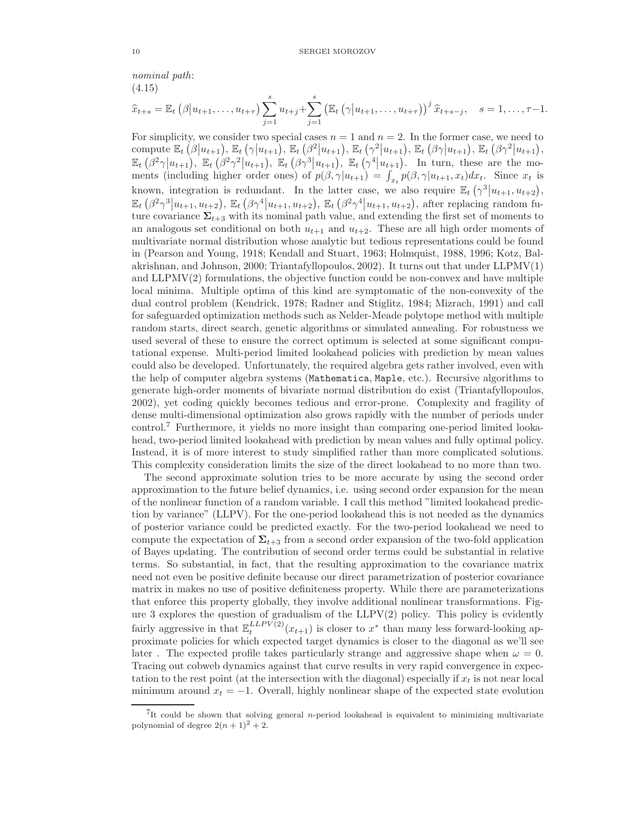nominal path: (4.15)

$$
\widehat{x}_{t+s} = \mathbb{E}_t \left( \beta \middle| u_{t+1}, \ldots, u_{t+\tau} \right) \sum_{j=1}^s u_{t+j} + \sum_{j=1}^s \left( \mathbb{E}_t \left( \gamma \middle| u_{t+1}, \ldots, u_{t+\tau} \right) \right)^j \widehat{x}_{t+s-j}, \quad s = 1, \ldots, \tau-1.
$$

For simplicity, we consider two special cases  $n = 1$  and  $n = 2$ . In the former case, we need to compute  $\mathbb{E}_t\left(\beta|u_{t+1}\right), \mathbb{E}_t\left(\gamma|u_{t+1}\right), \mathbb{E}_t\left(\beta^2|u_{t+1}\right), \mathbb{E}_t\left(\gamma^2|u_{t+1}\right), \mathbb{E}_t\left(\beta\gamma|u_{t+1}\right), \mathbb{E}_t\left(\beta\gamma^2|u_{t+1}\right),$  $\mathbb{E}_t\left(\beta^2\gamma\big|u_{t+1}\right)$ ,  $\mathbb{E}_t\left(\beta^2\gamma^2\big|u_{t+1}\right)$ ,  $\mathbb{E}_t\left(\beta\gamma^3\big|u_{t+1}\right)$ ,  $\mathbb{E}_t\left(\gamma^4\big|u_{t+1}\right)$ . In turn, these are the moments (including higher order ones) of  $p(\beta, \gamma | u_{t+1}) = \int_{x_t} p(\beta, \gamma | u_{t+1}, x_t) dx_t$ . Since  $x_t$  is known, integration is redundant. In the latter case, we also require  $\mathbb{E}_t(\gamma^3|u_{t+1}, u_{t+2}),$  $\mathbb{E}_t\left(\beta^2\gamma^3|u_{t+1}, u_{t+2}\right), \mathbb{E}_t\left(\beta\gamma^4|u_{t+1}, u_{t+2}\right), \mathbb{E}_t\left(\beta^2\gamma^4|u_{t+1}, u_{t+2}\right),$  after replacing random future covariance  $\Sigma_{t+3}$  with its nominal path value, and extending the first set of moments to an analogous set conditional on both  $u_{t+1}$  and  $u_{t+2}$ . These are all high order moments of multivariate normal distribution whose analytic but tedious representations could be found in (Pearson and Young, 1918; Kendall and Stuart, 1963; Holmquist, 1988, 1996; Kotz, Balakrishnan, and Johnson, 2000; Triantafyllopoulos, 2002). It turns out that under LLPMV(1) and LLPMV(2) formulations, the objective function could be non-convex and have multiple local minima. Multiple optima of this kind are symptomatic of the non-convexity of the dual control problem (Kendrick, 1978; Radner and Stiglitz, 1984; Mizrach, 1991) and call for safeguarded optimization methods such as Nelder-Meade polytope method with multiple random starts, direct search, genetic algorithms or simulated annealing. For robustness we used several of these to ensure the correct optimum is selected at some significant computational expense. Multi-period limited lookahead policies with prediction by mean values could also be developed. Unfortunately, the required algebra gets rather involved, even with the help of computer algebra systems (Mathematica, Maple, etc.). Recursive algorithms to generate high-order moments of bivariate normal distribution do exist (Triantafyllopoulos, 2002), yet coding quickly becomes tedious and error-prone. Complexity and fragility of dense multi-dimensional optimization also grows rapidly with the number of periods under control.<sup>7</sup> Furthermore, it yields no more insight than comparing one-period limited lookahead, two-period limited lookahead with prediction by mean values and fully optimal policy. Instead, it is of more interest to study simplified rather than more complicated solutions. This complexity consideration limits the size of the direct lookahead to no more than two.

The second approximate solution tries to be more accurate by using the second order approximation to the future belief dynamics, i.e. using second order expansion for the mean of the nonlinear function of a random variable. I call this method "limited lookahead prediction by variance" (LLPV). For the one-period lookahead this is not needed as the dynamics of posterior variance could be predicted exactly. For the two-period lookahead we need to compute the expectation of  $\Sigma_{t+3}$  from a second order expansion of the two-fold application of Bayes updating. The contribution of second order terms could be substantial in relative terms. So substantial, in fact, that the resulting approximation to the covariance matrix need not even be positive definite because our direct parametrization of posterior covariance matrix in makes no use of positive definiteness property. While there are parameterizations that enforce this property globally, they involve additional nonlinear transformations. Figure 3 explores the question of gradualism of the LLPV(2) policy. This policy is evidently fairly aggressive in that  $\mathbb{E}_{t}^{LLPV(2)}(x_{t+1})$  is closer to  $x^*$  than many less forward-looking approximate policies for which expected target dynamics is closer to the diagonal as we'll see later. The expected profile takes particularly strange and aggressive shape when  $\omega = 0$ . Tracing out cobweb dynamics against that curve results in very rapid convergence in expectation to the rest point (at the intersection with the diagonal) especially if  $x_t$  is not near local minimum around  $x_t = -1$ . Overall, highly nonlinear shape of the expected state evolution

<sup>&</sup>lt;sup>7</sup>It could be shown that solving general n-period lookahead is equivalent to minimizing multivariate polynomial of degree  $2(n+1)^2+2$ .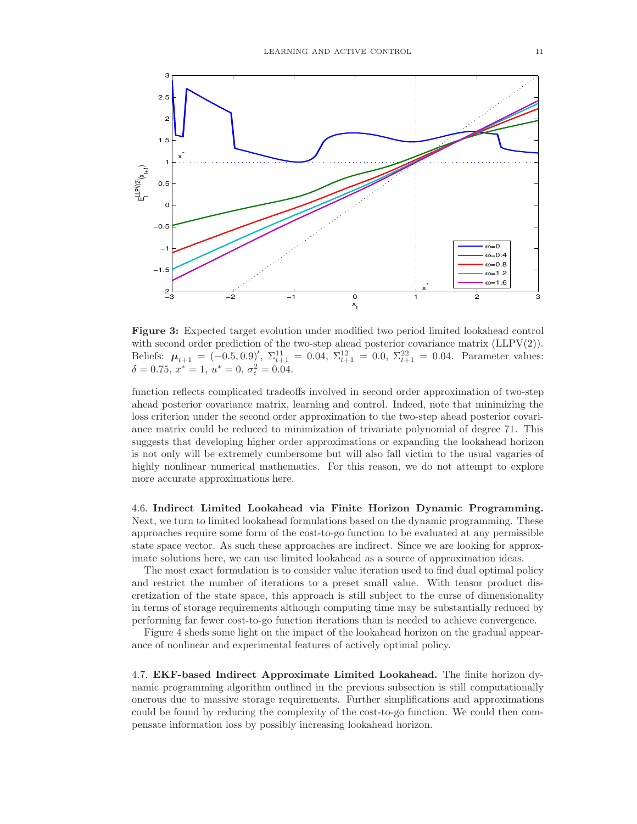

Figure 3: Expected target evolution under modified two period limited lookahead control with second order prediction of the two-step ahead posterior covariance matrix  $(LLPV(2))$ . Beliefs:  $\mu_{t+1} = (-0.5, 0.9)'$ ,  $\Sigma_{t+1}^{11} = 0.04$ ,  $\Sigma_{t+1}^{12} = 0.0$ ,  $\Sigma_{t+1}^{22} = 0.04$ . Parameter values:  $\delta = 0.75, x^* = 1, u^* = 0, \sigma_{\epsilon}^2 = 0.04.$ 

function reflects complicated tradeoffs involved in second order approximation of two-step ahead posterior covariance matrix, learning and control. Indeed, note that minimizing the loss criterion under the second order approximation to the two-step ahead posterior covariance matrix could be reduced to minimization of trivariate polynomial of degree 71. This suggests that developing higher order approximations or expanding the lookahead horizon is not only will be extremely cumbersome but will also fall victim to the usual vagaries of highly nonlinear numerical mathematics. For this reason, we do not attempt to explore more accurate approximations here.

4.6. Indirect Limited Lookahead via Finite Horizon Dynamic Programming. Next, we turn to limited lookahead formulations based on the dynamic programming. These approaches require some form of the cost-to-go function to be evaluated at any permissible state space vector. As such these approaches are indirect. Since we are looking for approximate solutions here, we can use limited lookahead as a source of approximation ideas.

The most exact formulation is to consider value iteration used to find dual optimal policy and restrict the number of iterations to a preset small value. With tensor product discretization of the state space, this approach is still subject to the curse of dimensionality in terms of storage requirements although computing time may be substantially reduced by performing far fewer cost-to-go function iterations than is needed to achieve convergence.

Figure 4 sheds some light on the impact of the lookahead horizon on the gradual appearance of nonlinear and experimental features of actively optimal policy.

4.7. EKF-based Indirect Approximate Limited Lookahead. The finite horizon dynamic programming algorithm outlined in the previous subsection is still computationally onerous due to massive storage requirements. Further simplifications and approximations could be found by reducing the complexity of the cost-to-go function. We could then compensate information loss by possibly increasing lookahead horizon.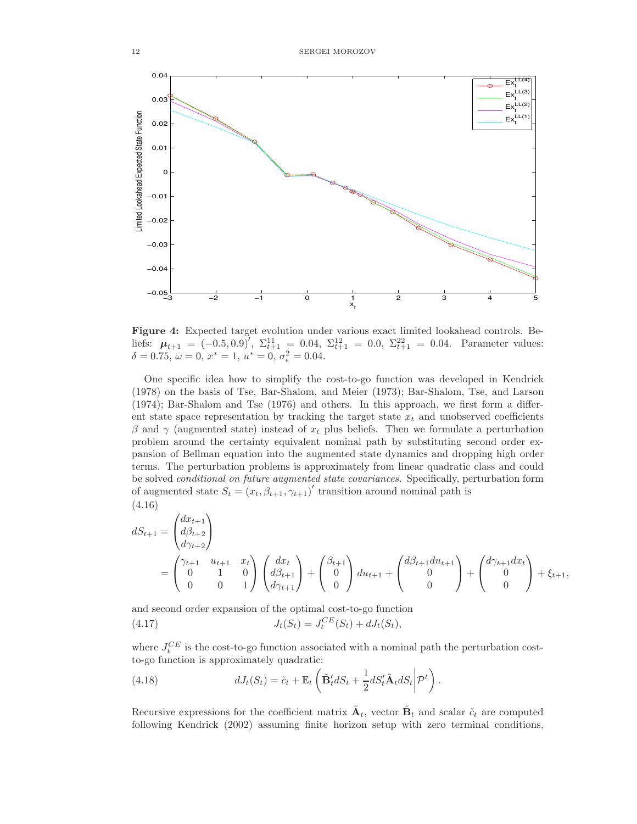

Figure 4: Expected target evolution under various exact limited lookahead controls. Beliefs:  $\mu_{t+1} = \left(-0.5, 0.9\right)^{\prime}, \ \Sigma_{t+1}^{11} = 0.04, \ \Sigma_{t+1}^{12} = 0.0, \ \Sigma_{t+1}^{22} = 0.04.$  Parameter values:  $\delta = 0.75, \, \omega = 0, \, x^* = 1, \, u^* = 0, \, \sigma_{\epsilon}^2 = 0.04.$ 

One specific idea how to simplify the cost-to-go function was developed in Kendrick (1978) on the basis of Tse, Bar-Shalom, and Meier (1973); Bar-Shalom, Tse, and Larson (1974); Bar-Shalom and Tse (1976) and others. In this approach, we first form a different state space representation by tracking the target state  $x_t$  and unobserved coefficients β and γ (augmented state) instead of  $x_t$  plus beliefs. Then we formulate a perturbation problem around the certainty equivalent nominal path by substituting second order expansion of Bellman equation into the augmented state dynamics and dropping high order terms. The perturbation problems is approximately from linear quadratic class and could be solved conditional on future augmented state covariances. Specifically, perturbation form of augmented state  $S_t = (x_t, \beta_{t+1}, \gamma_{t+1})'$  transition around nominal path is (4.16)

$$
dS_{t+1} = \begin{pmatrix} dx_{t+1} \\ d\beta_{t+2} \\ d\gamma_{t+2} \end{pmatrix}
$$
  
= 
$$
\begin{pmatrix} \gamma_{t+1} & u_{t+1} & x_t \\ 0 & 1 & 0 \\ 0 & 0 & 1 \end{pmatrix} \begin{pmatrix} dx_t \\ d\beta_{t+1} \\ d\gamma_{t+1} \end{pmatrix} + \begin{pmatrix} \beta_{t+1} \\ 0 \\ 0 \end{pmatrix} du_{t+1} + \begin{pmatrix} d\beta_{t+1} du_{t+1} \\ 0 \\ 0 \end{pmatrix} + \begin{pmatrix} d\gamma_{t+1} dx_t \\ 0 \\ 0 \end{pmatrix} + \xi_{t+1},
$$

and second order expansion of the optimal cost-to-go function

(4.17) 
$$
J_t(S_t) = J_t^{CE}(S_t) + dJ_t(S_t),
$$

where  $J_t^{CE}$  is the cost-to-go function associated with a nominal path the perturbation costto-go function is approximately quadratic:

(4.18) 
$$
dJ_t(S_t) = \tilde{c}_t + \mathbb{E}_t \left( \tilde{\mathbf{B}}'_t dS_t + \frac{1}{2} dS'_t \tilde{\mathbf{A}}_t dS_t \middle| \mathcal{P}^t \right).
$$

Recursive expressions for the coefficient matrix  $\tilde{A}_t$ , vector  $\tilde{B}_t$  and scalar  $\tilde{c}_t$  are computed following Kendrick (2002) assuming finite horizon setup with zero terminal conditions,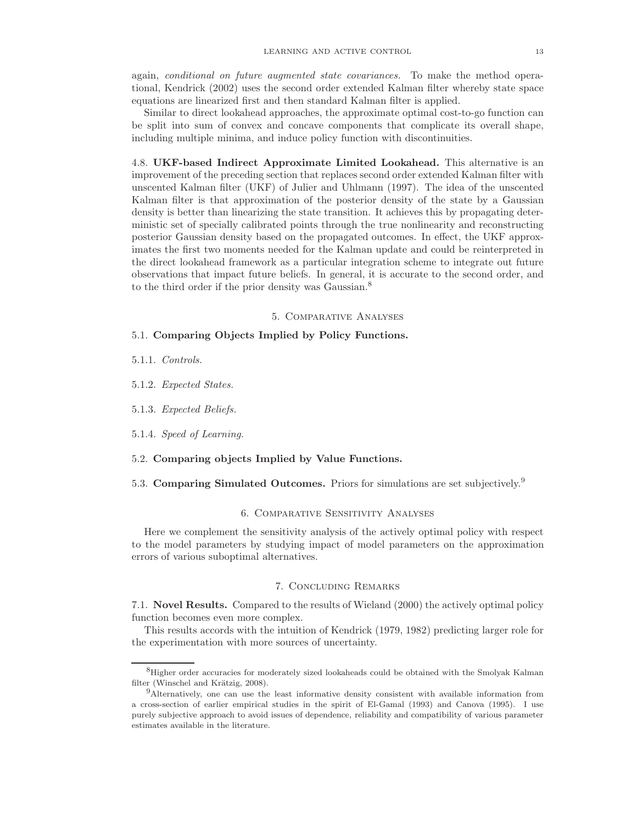again, conditional on future augmented state covariances. To make the method operational, Kendrick (2002) uses the second order extended Kalman filter whereby state space equations are linearized first and then standard Kalman filter is applied.

Similar to direct lookahead approaches, the approximate optimal cost-to-go function can be split into sum of convex and concave components that complicate its overall shape, including multiple minima, and induce policy function with discontinuities.

4.8. UKF-based Indirect Approximate Limited Lookahead. This alternative is an improvement of the preceding section that replaces second order extended Kalman filter with unscented Kalman filter (UKF) of Julier and Uhlmann (1997). The idea of the unscented Kalman filter is that approximation of the posterior density of the state by a Gaussian density is better than linearizing the state transition. It achieves this by propagating deterministic set of specially calibrated points through the true nonlinearity and reconstructing posterior Gaussian density based on the propagated outcomes. In effect, the UKF approximates the first two moments needed for the Kalman update and could be reinterpreted in the direct lookahead framework as a particular integration scheme to integrate out future observations that impact future beliefs. In general, it is accurate to the second order, and to the third order if the prior density was Gaussian.<sup>8</sup>

### 5. Comparative Analyses

## 5.1. Comparing Objects Implied by Policy Functions.

5.1.1. Controls.

5.1.2. Expected States.

5.1.3. Expected Beliefs.

5.1.4. Speed of Learning.

5.2. Comparing objects Implied by Value Functions.

5.3. Comparing Simulated Outcomes. Priors for simulations are set subjectively.<sup>9</sup>

### 6. Comparative Sensitivity Analyses

Here we complement the sensitivity analysis of the actively optimal policy with respect to the model parameters by studying impact of model parameters on the approximation errors of various suboptimal alternatives.

### 7. Concluding Remarks

7.1. Novel Results. Compared to the results of Wieland (2000) the actively optimal policy function becomes even more complex.

This results accords with the intuition of Kendrick (1979, 1982) predicting larger role for the experimentation with more sources of uncertainty.

<sup>8</sup>Higher order accuracies for moderately sized lookaheads could be obtained with the Smolyak Kalman filter (Winschel and Krätzig, 2008).

<sup>9</sup>Alternatively, one can use the least informative density consistent with available information from a cross-section of earlier empirical studies in the spirit of El-Gamal (1993) and Canova (1995). I use purely subjective approach to avoid issues of dependence, reliability and compatibility of various parameter estimates available in the literature.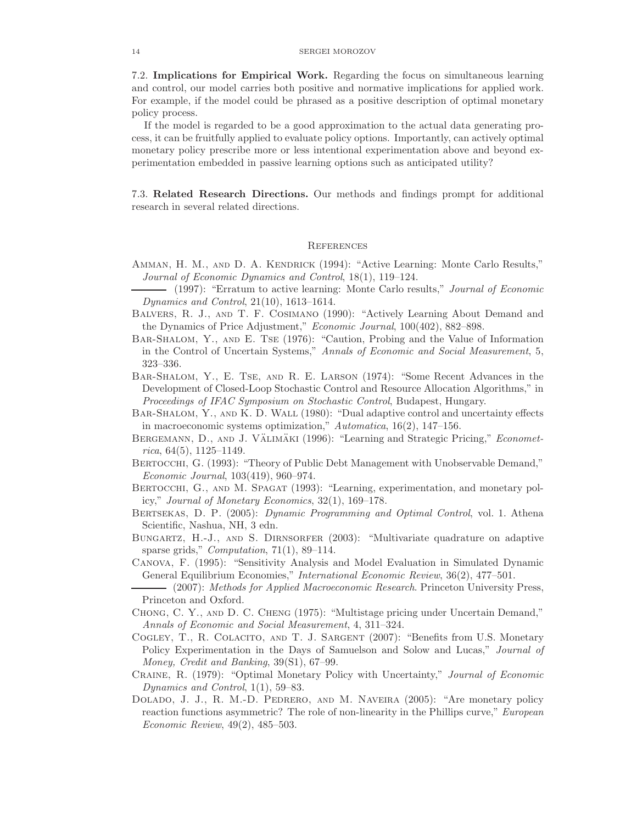7.2. Implications for Empirical Work. Regarding the focus on simultaneous learning and control, our model carries both positive and normative implications for applied work. For example, if the model could be phrased as a positive description of optimal monetary policy process.

If the model is regarded to be a good approximation to the actual data generating process, it can be fruitfully applied to evaluate policy options. Importantly, can actively optimal monetary policy prescribe more or less intentional experimentation above and beyond experimentation embedded in passive learning options such as anticipated utility?

7.3. Related Research Directions. Our methods and findings prompt for additional research in several related directions.

#### **REFERENCES**

- Amman, H. M., and D. A. Kendrick (1994): "Active Learning: Monte Carlo Results," Journal of Economic Dynamics and Control, 18(1), 119–124.
- (1997): "Erratum to active learning: Monte Carlo results," *Journal of Economic* Dynamics and Control, 21(10), 1613–1614.
- Balvers, R. J., and T. F. Cosimano (1990): "Actively Learning About Demand and the Dynamics of Price Adjustment," Economic Journal, 100(402), 882–898.
- Bar-Shalom, Y., and E. Tse (1976): "Caution, Probing and the Value of Information in the Control of Uncertain Systems," Annals of Economic and Social Measurement, 5, 323–336.
- Bar-Shalom, Y., E. Tse, and R. E. Larson (1974): "Some Recent Advances in the Development of Closed-Loop Stochastic Control and Resource Allocation Algorithms," in Proceedings of IFAC Symposium on Stochastic Control, Budapest, Hungary.
- BAR-SHALOM, Y., AND K. D. WALL (1980): "Dual adaptive control and uncertainty effects in macroeconomic systems optimization," Automatica, 16(2), 147–156.
- BERGEMANN, D., AND J. VÄLIMÄKI (1996): "Learning and Strategic Pricing," *Economet* $rica, 64(5), 1125-1149.$
- BERTOCCHI, G. (1993): "Theory of Public Debt Management with Unobservable Demand," Economic Journal, 103(419), 960–974.
- BERTOCCHI, G., AND M. SPAGAT (1993): "Learning, experimentation, and monetary policy," Journal of Monetary Economics, 32(1), 169–178.
- Bertsekas, D. P. (2005): Dynamic Programming and Optimal Control, vol. 1. Athena Scientific, Nashua, NH, 3 edn.
- BUNGARTZ, H.-J., AND S. DIRNSORFER (2003): "Multivariate quadrature on adaptive sparse grids," *Computation*, 71(1), 89–114.
- Canova, F. (1995): "Sensitivity Analysis and Model Evaluation in Simulated Dynamic General Equilibrium Economies," International Economic Review, 36(2), 477–501.
- (2007): Methods for Applied Macroeconomic Research. Princeton University Press, Princeton and Oxford.
- Chong, C. Y., and D. C. Cheng (1975): "Multistage pricing under Uncertain Demand," Annals of Economic and Social Measurement, 4, 311–324.
- Cogley, T., R. Colacito, and T. J. Sargent (2007): "Benefits from U.S. Monetary Policy Experimentation in the Days of Samuelson and Solow and Lucas," *Journal of* Money, Credit and Banking, 39(S1), 67–99.
- Craine, R. (1979): "Optimal Monetary Policy with Uncertainty," Journal of Economic Dynamics and Control, 1(1), 59–83.
- Dolado, J. J., R. M.-D. Pedrero, and M. Naveira (2005): "Are monetary policy reaction functions asymmetric? The role of non-linearity in the Phillips curve," *European* Economic Review, 49(2), 485–503.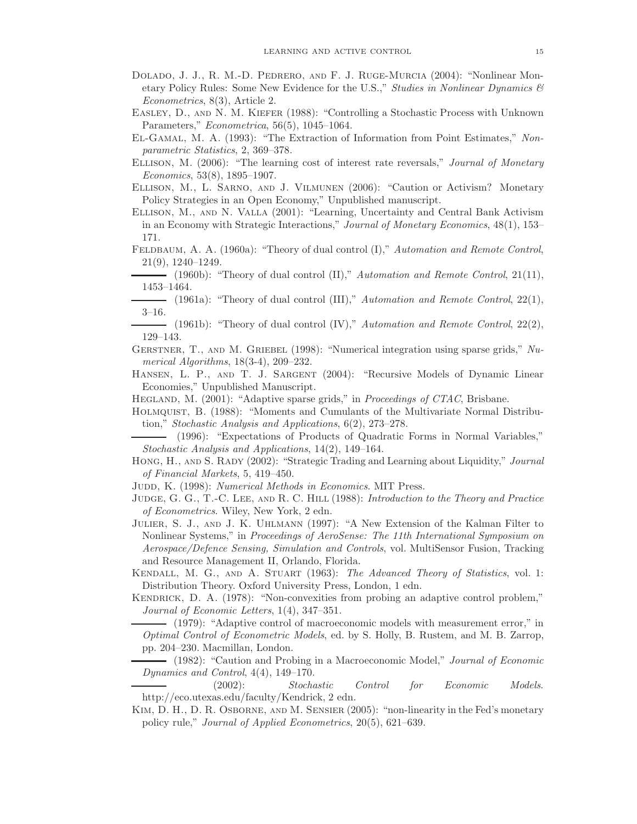- Dolado, J. J., R. M.-D. Pedrero, and F. J. Ruge-Murcia (2004): "Nonlinear Monetary Policy Rules: Some New Evidence for the U.S.," Studies in Nonlinear Dynamics  $\mathcal{C}$ Econometrics, 8(3), Article 2.
- Easley, D., and N. M. Kiefer (1988): "Controlling a Stochastic Process with Unknown Parameters," Econometrica, 56(5), 1045–1064.
- El-Gamal, M. A. (1993): "The Extraction of Information from Point Estimates," Nonparametric Statistics, 2, 369–378.
- Ellison, M. (2006): "The learning cost of interest rate reversals," Journal of Monetary Economics, 53(8), 1895–1907.
- Ellison, M., L. Sarno, and J. Vilmunen (2006): "Caution or Activism? Monetary Policy Strategies in an Open Economy," Unpublished manuscript.
- Ellison, M., and N. Valla (2001): "Learning, Uncertainty and Central Bank Activism in an Economy with Strategic Interactions," Journal of Monetary Economics, 48(1), 153– 171.
- FELDBAUM, A. A. (1960a): "Theory of dual control (I)," Automation and Remote Control, 21(9), 1240–1249.

- (1960b): "Theory of dual control (II)," Automation and Remote Control, 21(11), 1453–1464.

- (1961a): "Theory of dual control (III)," Automation and Remote Control,  $22(1)$ , 3–16.
- $-$  (1961b): "Theory of dual control (IV)," Automation and Remote Control, 22(2), 129–143.
- GERSTNER, T., AND M. GRIEBEL (1998): "Numerical integration using sparse grids,"  $Nu$ merical Algorithms, 18(3-4), 209–232.
- Hansen, L. P., and T. J. Sargent (2004): "Recursive Models of Dynamic Linear Economies," Unpublished Manuscript.
- HEGLAND, M. (2001): "Adaptive sparse grids," in *Proceedings of CTAC*, Brisbane.
- Holmquist, B. (1988): "Moments and Cumulants of the Multivariate Normal Distribution," Stochastic Analysis and Applications, 6(2), 273–278.
- (1996): "Expectations of Products of Quadratic Forms in Normal Variables," Stochastic Analysis and Applications, 14(2), 149–164.
- HONG, H., AND S. RADY (2002): "Strategic Trading and Learning about Liquidity," Journal of Financial Markets, 5, 419–450.
- JUDD, K. (1998): Numerical Methods in Economics. MIT Press.
- JUDGE, G. G., T.-C. LEE, AND R. C. HILL (1988): Introduction to the Theory and Practice of Econometrics. Wiley, New York, 2 edn.
- Julier, S. J., and J. K. Uhlmann (1997): "A New Extension of the Kalman Filter to Nonlinear Systems," in Proceedings of AeroSense: The 11th International Symposium on Aerospace/Defence Sensing, Simulation and Controls, vol. MultiSensor Fusion, Tracking and Resource Management II, Orlando, Florida.
- KENDALL, M. G., AND A. STUART (1963): The Advanced Theory of Statistics, vol. 1: Distribution Theory. Oxford University Press, London, 1 edn.
- KENDRICK, D. A. (1978): "Non-convexities from probing an adaptive control problem," Journal of Economic Letters, 1(4), 347–351.
- (1979): "Adaptive control of macroeconomic models with measurement error," in Optimal Control of Econometric Models, ed. by S. Holly, B. Rustem, and M. B. Zarrop, pp. 204–230. Macmillan, London.

- (1982): "Caution and Probing in a Macroeconomic Model," Journal of Economic Dynamics and Control, 4(4), 149–170.

(2002): Stochastic Control for Economic Models. http://eco.utexas.edu/faculty/Kendrick, 2 edn.

Kim, D. H., D. R. Osborne, and M. Sensier (2005): "non-linearity in the Fed's monetary policy rule," Journal of Applied Econometrics, 20(5), 621–639.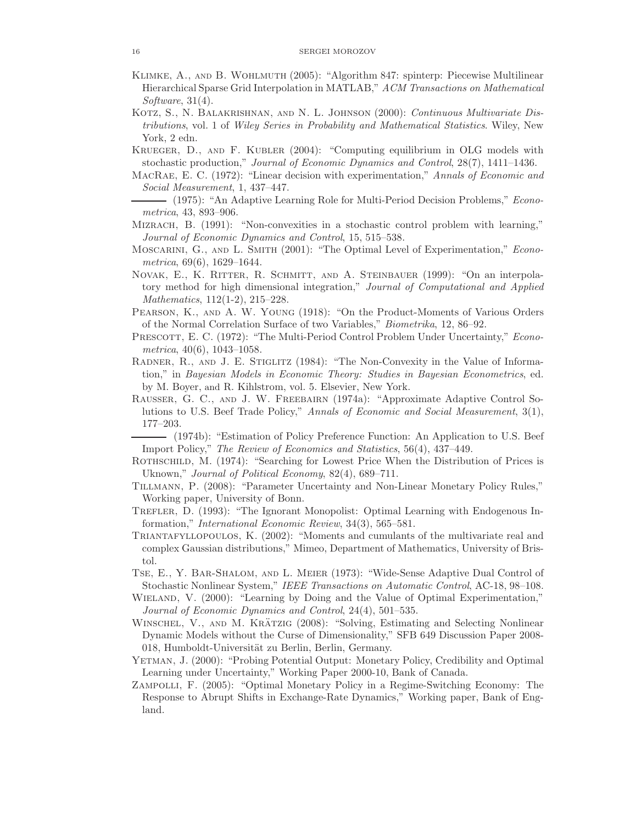- Klimke, A., and B. Wohlmuth (2005): "Algorithm 847: spinterp: Piecewise Multilinear Hierarchical Sparse Grid Interpolation in MATLAB," ACM Transactions on Mathematical Software,  $31(4)$ .
- KOTZ, S., N. BALAKRISHNAN, AND N. L. JOHNSON (2000): Continuous Multivariate Distributions, vol. 1 of Wiley Series in Probability and Mathematical Statistics. Wiley, New York, 2 edn.
- Krueger, D., and F. Kubler (2004): "Computing equilibrium in OLG models with stochastic production," Journal of Economic Dynamics and Control, 28(7), 1411–1436.
- MacRae, E. C. (1972): "Linear decision with experimentation," Annals of Economic and Social Measurement, 1, 437–447.
- (1975): "An Adaptive Learning Role for Multi-Period Decision Problems," *Econo*metrica, 43, 893–906.
- MIZRACH, B. (1991): "Non-convexities in a stochastic control problem with learning," Journal of Economic Dynamics and Control, 15, 515–538.
- MOSCARINI, G., AND L. SMITH (2001): "The Optimal Level of Experimentation," *Econo*metrica, 69(6), 1629–1644.
- Novak, E., K. Ritter, R. Schmitt, and A. Steinbauer (1999): "On an interpolatory method for high dimensional integration," Journal of Computational and Applied Mathematics, 112(1-2), 215–228.
- Pearson, K., and A. W. Young (1918): "On the Product-Moments of Various Orders of the Normal Correlation Surface of two Variables," Biometrika, 12, 86–92.
- PRESCOTT, E. C. (1972): "The Multi-Period Control Problem Under Uncertainty," *Econo*metrica, 40(6), 1043–1058.
- RADNER, R., AND J. E. STIGLITZ (1984): "The Non-Convexity in the Value of Information," in Bayesian Models in Economic Theory: Studies in Bayesian Econometrics, ed. by M. Boyer, and R. Kihlstrom, vol. 5. Elsevier, New York.
- Rausser, G. C., and J. W. Freebairn (1974a): "Approximate Adaptive Control Solutions to U.S. Beef Trade Policy," Annals of Economic and Social Measurement, 3(1), 177–203.
- (1974b): "Estimation of Policy Preference Function: An Application to U.S. Beef Import Policy," The Review of Economics and Statistics, 56(4), 437–449.
- ROTHSCHILD, M. (1974): "Searching for Lowest Price When the Distribution of Prices is Uknown," Journal of Political Economy, 82(4), 689–711.
- Tillmann, P. (2008): "Parameter Uncertainty and Non-Linear Monetary Policy Rules," Working paper, University of Bonn.
- TREFLER, D. (1993): "The Ignorant Monopolist: Optimal Learning with Endogenous Information," International Economic Review, 34(3), 565–581.
- Triantafyllopoulos, K. (2002): "Moments and cumulants of the multivariate real and complex Gaussian distributions," Mimeo, Department of Mathematics, University of Bristol.
- Tse, E., Y. Bar-Shalom, and L. Meier (1973): "Wide-Sense Adaptive Dual Control of Stochastic Nonlinear System," IEEE Transactions on Automatic Control, AC-18, 98–108.
- WIELAND, V. (2000): "Learning by Doing and the Value of Optimal Experimentation," Journal of Economic Dynamics and Control, 24(4), 501–535.
- WINSCHEL, V., AND M. KRÄTZIG (2008): "Solving, Estimating and Selecting Nonlinear Dynamic Models without the Curse of Dimensionality," SFB 649 Discussion Paper 2008- 018, Humboldt-Universität zu Berlin, Berlin, Germany.
- Yetman, J. (2000): "Probing Potential Output: Monetary Policy, Credibility and Optimal Learning under Uncertainty," Working Paper 2000-10, Bank of Canada.
- Zampolli, F. (2005): "Optimal Monetary Policy in a Regime-Switching Economy: The Response to Abrupt Shifts in Exchange-Rate Dynamics," Working paper, Bank of England.